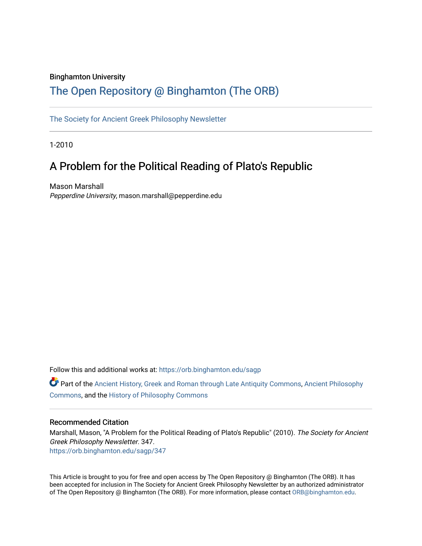## Binghamton University

## [The Open Repository @ Binghamton \(The ORB\)](https://orb.binghamton.edu/)

[The Society for Ancient Greek Philosophy Newsletter](https://orb.binghamton.edu/sagp) 

1-2010

# A Problem for the Political Reading of Plato's Republic

Mason Marshall Pepperdine University, mason.marshall@pepperdine.edu

Follow this and additional works at: [https://orb.binghamton.edu/sagp](https://orb.binghamton.edu/sagp?utm_source=orb.binghamton.edu%2Fsagp%2F347&utm_medium=PDF&utm_campaign=PDFCoverPages) 

Part of the [Ancient History, Greek and Roman through Late Antiquity Commons](http://network.bepress.com/hgg/discipline/447?utm_source=orb.binghamton.edu%2Fsagp%2F347&utm_medium=PDF&utm_campaign=PDFCoverPages), [Ancient Philosophy](http://network.bepress.com/hgg/discipline/448?utm_source=orb.binghamton.edu%2Fsagp%2F347&utm_medium=PDF&utm_campaign=PDFCoverPages)  [Commons](http://network.bepress.com/hgg/discipline/448?utm_source=orb.binghamton.edu%2Fsagp%2F347&utm_medium=PDF&utm_campaign=PDFCoverPages), and the [History of Philosophy Commons](http://network.bepress.com/hgg/discipline/531?utm_source=orb.binghamton.edu%2Fsagp%2F347&utm_medium=PDF&utm_campaign=PDFCoverPages) 

### Recommended Citation

Marshall, Mason, "A Problem for the Political Reading of Plato's Republic" (2010). The Society for Ancient Greek Philosophy Newsletter. 347. [https://orb.binghamton.edu/sagp/347](https://orb.binghamton.edu/sagp/347?utm_source=orb.binghamton.edu%2Fsagp%2F347&utm_medium=PDF&utm_campaign=PDFCoverPages) 

This Article is brought to you for free and open access by The Open Repository @ Binghamton (The ORB). It has been accepted for inclusion in The Society for Ancient Greek Philosophy Newsletter by an authorized administrator of The Open Repository @ Binghamton (The ORB). For more information, please contact [ORB@binghamton.edu.](mailto:ORB@binghamton.edu)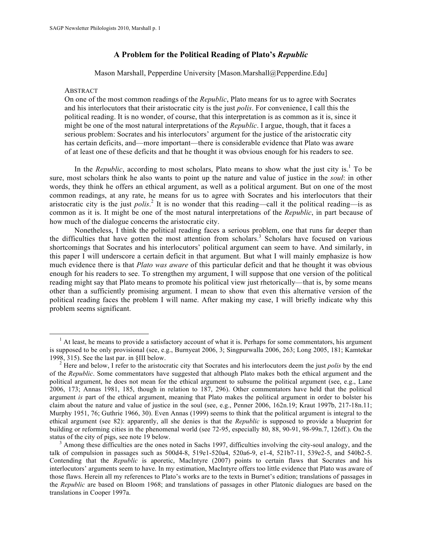## **A Problem for the Political Reading of Plato's** *Republic*

Mason Marshall, Pepperdine University [Mason.Marshall@Pepperdine.Edu]

#### ABSTRACT

On one of the most common readings of the *Republic*, Plato means for us to agree with Socrates and his interlocutors that their aristocratic city is the just *polis*. For convenience, I call this the political reading. It is no wonder, of course, that this interpretation is as common as it is, since it might be one of the most natural interpretations of the *Republic*. I argue, though, that it faces a serious problem: Socrates and his interlocutors' argument for the justice of the aristocratic city has certain deficits, and—more important—there is considerable evidence that Plato was aware of at least one of these deficits and that he thought it was obvious enough for his readers to see.

In the *Republic*, according to most scholars, Plato means to show what the just city is.<sup>1</sup> To be sure, most scholars think he also wants to point up the nature and value of justice in the *soul*: in other words, they think he offers an ethical argument, as well as a political argument. But on one of the most common readings, at any rate, he means for us to agree with Socrates and his interlocutors that their aristocratic city is the just *polis*<sup>2</sup>. It is no wonder that this reading—call it the political reading—is as common as it is. It might be one of the most natural interpretations of the *Republic*, in part because of how much of the dialogue concerns the aristocratic city.

Nonetheless, I think the political reading faces a serious problem, one that runs far deeper than the difficulties that have gotten the most attention from scholars.<sup>3</sup> Scholars have focused on various shortcomings that Socrates and his interlocutors' political argument can seem to have. And similarly, in this paper I will underscore a certain deficit in that argument. But what I will mainly emphasize is how much evidence there is that *Plato was aware* of this particular deficit and that he thought it was obvious enough for his readers to see. To strengthen my argument, I will suppose that one version of the political reading might say that Plato means to promote his political view just rhetorically—that is, by some means other than a sufficiently promising argument. I mean to show that even this alternative version of the political reading faces the problem I will name. After making my case, I will briefly indicate why this problem seems significant.

 $<sup>1</sup>$  At least, he means to provide a satisfactory account of what it is. Perhaps for some commentators, his argument</sup> is supposed to be only provisional (see, e.g., Burnyeat 2006, 3; Singpurwalla 2006, 263; Long 2005, 181; Kamtekar 1998, 315). See the last par. in §III below.<br><sup>2</sup> Here and below, I refer to the aristocratic city that Socrates and his interlocutors deem the just *polis* by the end

of the *Republic*. Some commentators have suggested that although Plato makes both the ethical argument and the political argument, he does not mean for the ethical argument to subsume the political argument (see, e.g., Lane 2006, 173; Annas 1981, 185, though in relation to 187, 296). Other commentators have held that the political argument *is* part of the ethical argument, meaning that Plato makes the political argument in order to bolster his claim about the nature and value of justice in the soul (see, e.g., Penner 2006, 162n.19; Kraut 1997b, 217-18n.11; Murphy 1951, 76; Guthrie 1966, 30). Even Annas (1999) seems to think that the political argument is integral to the ethical argument (see 82): apparently, all she denies is that the *Republic* is supposed to provide a blueprint for building or reforming cities in the phenomenal world (see 72-95, especially 80, 88, 90-91, 98-99n.7, 126ff.). On the status of the city of pigs, see note 19 below.<br><sup>3</sup> Among these difficulties are the ones noted in Sachs 1997, difficulties involving the city-soul analogy, and the

talk of compulsion in passages such as 500d4-8, 519e1-520a4, 520a6-9, e1-4, 521b7-11, 539e2-5, and 540b2-5. Contending that the *Republic* is aporetic, MacIntyre (2007) points to certain flaws that Socrates and his interlocutors' arguments seem to have. In my estimation, MacIntyre offers too little evidence that Plato was aware of those flaws. Herein all my references to Plato's works are to the texts in Burnet's edition; translations of passages in the *Republic* are based on Bloom 1968; and translations of passages in other Platonic dialogues are based on the translations in Cooper 1997a.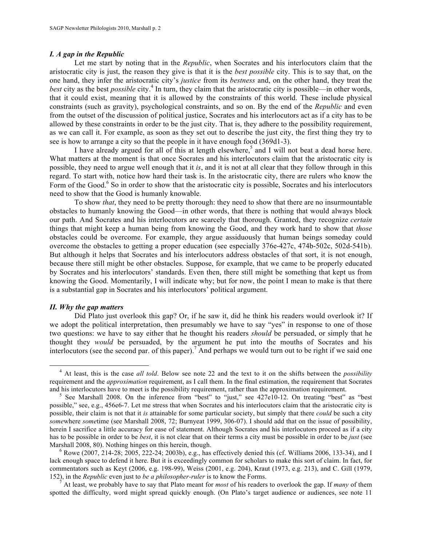#### *I. A gap in the Republic*

Let me start by noting that in the *Republic*, when Socrates and his interlocutors claim that the aristocratic city is just, the reason they give is that it is the *best possible* city. This is to say that, on the one hand, they infer the aristocratic city's *justice* from its *bestness* and, on the other hand, they treat the *best* city as the best *possible* city.<sup>4</sup> In turn, they claim that the aristocratic city is possible—in other words, that it could exist, meaning that it is allowed by the constraints of this world. These include physical constraints (such as gravity), psychological constraints, and so on. By the end of the *Republic* and even from the outset of the discussion of political justice, Socrates and his interlocutors act as if a city has to be allowed by these constraints in order to be the just city. That is, they adhere to the possibility requirement, as we can call it. For example, as soon as they set out to describe the just city, the first thing they try to see is how to arrange a city so that the people in it have enough food (369d1-3).

I have already argued for all of this at length elsewhere,<sup>5</sup> and I will not beat a dead horse here. What matters at the moment is that once Socrates and his interlocutors claim that the aristocratic city is possible, they need to argue well enough that it *is*, and it is not at all clear that they follow through in this regard. To start with, notice how hard their task is. In the aristocratic city, there are rulers who know the Form of the Good.<sup>6</sup> So in order to show that the aristocratic city is possible, Socrates and his interlocutors need to show that the Good is humanly knowable.

To show *that*, they need to be pretty thorough: they need to show that there are no insurmountable obstacles to humanly knowing the Good—in other words, that there is nothing that would always block our path. And Socrates and his interlocutors are scarcely that thorough. Granted, they recognize *certain* things that might keep a human being from knowing the Good, and they work hard to show that *those* obstacles could be overcome. For example, they argue assiduously that human beings someday could overcome the obstacles to getting a proper education (see especially 376e-427c, 474b-502c, 502d-541b). But although it helps that Socrates and his interlocutors address obstacles of that sort, it is not enough, because there still might be other obstacles. Suppose, for example, that we came to be properly educated by Socrates and his interlocutors' standards. Even then, there still might be something that kept us from knowing the Good. Momentarily, I will indicate why; but for now, the point I mean to make is that there is a substantial gap in Socrates and his interlocutors' political argument.

#### *II. Why the gap matters*

Did Plato just overlook this gap? Or, if he saw it, did he think his readers would overlook it? If we adopt the political interpretation, then presumably we have to say "yes" in response to one of those two questions: we have to say either that he thought his readers *should* be persuaded, or simply that he thought they *would* be persuaded, by the argument he put into the mouths of Socrates and his interlocutors (see the second par. of this paper).<sup>7</sup> And perhaps we would turn out to be right if we said one

 <sup>4</sup> At least, this is the case *all told*. Below see note 22 and the text to it on the shifts between the *possibility* requirement and the *approximation* requirement, as I call them. In the final estimation, the requirement that Socrates

and his interlocutors have to meet is the possibility requirement, rather than the approximation requirement.<br><sup>5</sup> See Marshall 2008. On the inference from "best" to "just," see 427e10-12. On treating "best" as "best possible," see, e.g., 456e6-7. Let me stress that when Socrates and his interlocutors claim that the aristocratic city is possible, their claim is not that it *is* attainable for some particular society, but simply that there *could* be such a city *some*where *some*time (see Marshall 2008, 72; Burnyeat 1999, 306-07). I should add that on the issue of possibility, herein I sacrifice a little accuracy for ease of statement. Although Socrates and his interlocutors proceed as if a city has to be possible in order to be *best*, it is not clear that on their terms a city must be possible in order to be *just* (see Marshall 2008, 80). Nothing hinges on this herein, though.<br><sup>6</sup> Rowe (2007, 214-28; 2005, 222-24; 2003b), e.g., has effectively denied this (cf. Williams 2006, 133-34), and I

lack enough space to defend it here. But it is exceedingly common for scholars to make this sort of claim. In fact, for commentators such as Keyt (2006, e.g. 198-99), Weiss (2001, e.g. 204), Kraut (1973, e.g. 213), and C. Gill (1979, 152), in the *Republic* even just to *be a philosopher-ruler* is to know the Forms. <sup>7</sup> At least, we probably have to say that Plato meant for *most* of his readers to overlook the gap. If *many* of them

spotted the difficulty, word might spread quickly enough. (On Plato's target audience or audiences, see note 11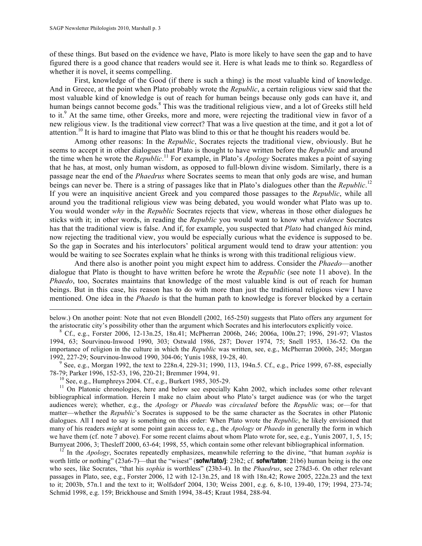of these things. But based on the evidence we have, Plato is more likely to have seen the gap and to have figured there is a good chance that readers would see it. Here is what leads me to think so. Regardless of whether it is novel, it seems compelling.

First, knowledge of the Good (if there is such a thing) is the most valuable kind of knowledge. And in Greece, at the point when Plato probably wrote the *Republic*, a certain religious view said that the most valuable kind of knowledge is out of reach for human beings because only gods can have it, and human beings cannot become gods.<sup>8</sup> This was the traditional religious view, and a lot of Greeks still held to it.<sup>9</sup> At the same time, other Greeks, more and more, were rejecting the traditional view in favor of a new religious view. Is the traditional view correct? That was a live question at the time, and it got a lot of attention.<sup>10</sup> It is hard to imagine that Plato was blind to this or that he thought his readers would be.

Among other reasons: In the *Republic*, Socrates rejects the traditional view, obviously. But he seems to accept it in other dialogues that Plato is thought to have written before the *Republic* and around the time when he wrote the *Republic*. <sup>11</sup> For example, in Plato's *Apology* Socrates makes a point of saying that he has, at most, only human wisdom, as opposed to full-blown divine wisdom. Similarly, there is a passage near the end of the *Phaedrus* where Socrates seems to mean that only gods are wise, and human beings can never be. There is a string of passages like that in Plato's dialogues other than the *Republic*. 12 If you were an inquisitive ancient Greek and you compared those passages to the *Republic*, while all around you the traditional religious view was being debated, you would wonder what Plato was up to. You would wonder *why* in the *Republic* Socrates rejects that view, whereas in those other dialogues he sticks with it; in other words, in reading the *Republic* you would want to know what *evidence* Socrates has that the traditional view is false. And if, for example, you suspected that *Plato* had changed *his* mind, now rejecting the traditional view, you would be especially curious what the evidence is supposed to be. So the gap in Socrates and his interlocutors' political argument would tend to draw your attention: you would be waiting to see Socrates explain what he thinks is wrong with this traditional religious view.

And there also is another point you might expect him to address. Consider the *Phaedo*—another dialogue that Plato is thought to have written before he wrote the *Republic* (see note 11 above). In the *Phaedo*, too, Socrates maintains that knowledge of the most valuable kind is out of reach for human beings. But in this case, his reason has to do with more than just the traditional religious view I have mentioned. One idea in the *Phaedo* is that the human path to knowledge is forever blocked by a certain

below.) On another point: Note that not even Blondell (2002, 165-250) suggests that Plato offers any argument for the aristocratic city's possibility other than the argument which Socrates and his interlocutors explicitly voice.<br><sup>8</sup> Cf., e.g., Forster 2006, 12-13n.25, 18n.41; McPherran 2006b, 246; 2006a, 100n.27; 1996, 291-97; Vlastos

1994, 63; Sourvinou-Inwood 1990, 303; Ostwald 1986, 287; Dover 1974, 75; Snell 1953, 136-52. On the importance of religion in the culture in which the *Republic* was written, see, e.g., McPherran 2006b, 245; Morgan

1992, 227-29; Sourvinou-Inwood 1990, 304-06; Yunis 1988, 19-28, 40.<br><sup>9</sup> See, e.g., Morgan 1992, the text to 228n.4, 229-31; 1990, 113, 194n.5. Cf., e.g., Price 1999, 67-88, especially<br>78-79; Parker 1996, 152-53, 196, 220-2

 $\overline{a}$ 

<sup>10</sup> See, e.g., Humphreys 2004. Cf., e.g., Burkert 1985, 305-29.<br><sup>11</sup> On Platonic chronologies, here and below see especially Kahn 2002, which includes some other relevant bibliographical information. Herein I make no claim about who Plato's target audience was (or who the target audiences were); whether, e.g., the *Apology* or *Phaedo* was *circulated* before the *Republic* was; or—for that matter—whether the *Republic*'s Socrates is supposed to be the same character as the Socrates in other Platonic dialogues. All I need to say is something on this order: When Plato wrote the *Republic*, he likely envisioned that many of his readers *might* at some point gain access to, e.g., the *Apology* or *Phaedo* in generally the form in which we have them (cf. note 7 above). For some recent claims about whom Plato wrote for, see, e.g., Yunis 2007, 1, 5, 15; Burnyeat 2006, 3; Thesleff 2000, 63-64; 1998, 55, which contain some other relevant bibliographical information.<br><sup>12</sup> In the *Apology*, Socrates repeatedly emphasizes, meanwhile referring to the divine, "that human *sophia* 

worth little or nothing" (23a6-7)—that the "wisest" (**sofw/tato/j**: 23b2; cf. **sofw/taton**: 21b6) human being is the one who sees, like Socrates, "that his *sophia* is worthless" (23b3-4). In the *Phaedrus*, see 278d3-6. On other relevant passages in Plato, see, e.g., Forster 2006, 12 with 12-13n.25, and 18 with 18n.42; Rowe 2005, 222n.23 and the text to it; 2003b, 57n.1 and the text to it; Wolfsdorf 2004, 130; Weiss 2001, e.g. 6, 8-10, 139-40, 179; 1994, 273-74; Schmid 1998, e.g. 159; Brickhouse and Smith 1994, 38-45; Kraut 1984, 288-94.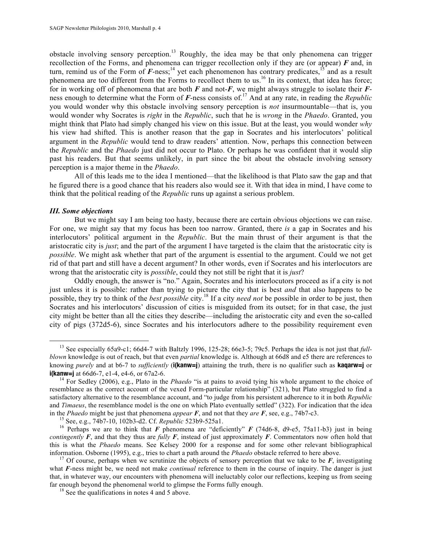obstacle involving sensory perception.<sup>13</sup> Roughly, the idea may be that only phenomena can trigger recollection of the Forms, and phenomena can trigger recollection only if they are (or appear) *F* and, in turn, remind us of the Form of  $\vec{F}$ -ness;<sup>14</sup> yet each phenomenon has contrary predicates,<sup>15</sup> and as a result phenomena are too different from the Forms to recollect them to us.<sup>16</sup> In its context, that idea has force; for in working off of phenomena that are both *F* and not-*F*, we might always struggle to isolate their *F*ness enough to determine what the Form of *F*-ness consists of.<sup>17</sup> And at any rate, in reading the *Republic* you would wonder why this obstacle involving sensory perception is *not* insurmountable—that is, you would wonder why Socrates is *right* in the *Republic*, such that he is *wrong* in the *Phaedo*. Granted, you might think that Plato had simply changed his view on this issue. But at the least, you would wonder *why* his view had shifted. This is another reason that the gap in Socrates and his interlocutors' political argument in the *Republic* would tend to draw readers' attention. Now, perhaps this connection between the *Republic* and the *Phaedo* just did not occur to Plato. Or perhaps he was confident that it would slip past his readers. But that seems unlikely, in part since the bit about the obstacle involving sensory perception is a major theme in the *Phaedo*.

All of this leads me to the idea I mentioned—that the likelihood is that Plato saw the gap and that he figured there is a good chance that his readers also would see it. With that idea in mind, I have come to think that the political reading of the *Republic* runs up against a serious problem.

#### *III. Some objections*

But we might say I am being too hasty, because there are certain obvious objections we can raise. For one, we might say that my focus has been too narrow. Granted, there *is* a gap in Socrates and his interlocutors' political argument in the *Republic*. But the main thrust of their argument is that the aristocratic city is *just*; and the part of the argument I have targeted is the claim that the aristocratic city is *possible*. We might ask whether that part of the argument is essential to the argument. Could we not get rid of that part and still have a decent argument? In other words, even if Socrates and his interlocutors are wrong that the aristocratic city is *possible*, could they not still be right that it is *just*?

Oddly enough, the answer is "no." Again, Socrates and his interlocutors proceed as if a city is not just unless it is possible: rather than trying to picture the city that is best *and* that also happens to be possible, they try to think of the *best possible* city.18 If a city *need not* be possible in order to be just, then Socrates and his interlocutors' discussion of cities is misguided from its outset; for in that case, the just city might be better than all the cities they describe—including the aristocratic city and even the so-called city of pigs (372d5-6), since Socrates and his interlocutors adhere to the possibility requirement even

<sup>&</sup>lt;sup>13</sup> See especially 65a9-c1; 66d4-7 with Baltzly 1996, 125-28; 66e3-5; 79c5. Perhaps the idea is not just that *fullblown* knowledge is out of reach, but that even *partial* knowledge is. Although at 66d8 and e5 there are references to knowing *purely* and at b6-7 to *sufficiently* (**i(kanw=j**) attaining the truth, there is no qualifier such as **kaqarw=j** or **i(kanw=j** at 66d6-7, e1-4, e4-6, or 67a2-6.<br><sup>14</sup> For Sedley (2006), e.g., Plato in the *Phaedo* "is at pains to avoid tying his whole argument to the choice of

resemblance as the correct account of the vexed Form-particular relationship" (321), but Plato struggled to find a satisfactory alternative to the resemblance account, and "to judge from his persistent adherence to it in both *Republic* and *Timaeus*, the resemblance model is the one on which Plato eventually settled" (322). For indication that the idea in the *Phaedo* might be just that phenomena *appear* **F**, and not that they *are* **F**, see, e.g., 74b7-c3.<br><sup>15</sup> See, e.g., 74b7-10, 102b3-d2. Cf. *Republic* 523b9-525a1.<br><sup>16</sup> Perhaps we are to think that **F** phenomena ar

*contingently*  $\vec{F}$ , and that they thus are *fully*  $\vec{F}$ , instead of just approximately  $\vec{F}$ . Commentators now often hold that this is what the *Phaedo* means. See Kelsey 2000 for a response and for some other relevant bibliographical information. Osborne (1995), e.g., tries to chart a path around the *Phaedo* obstacle referred to here above.

<sup>&</sup>lt;sup>17</sup> Of course, perhaps when we scrutinize the objects of sensory perception that we take to be  $\vec{F}$ , investigating what *F*-ness might be, we need not make *continual* reference to them in the course of inquiry. The danger is just that, in whatever way, our encounters with phenomena will ineluctably color our reflections, keeping us from seeing far enough beyond the phenomenal world to glimpse the Forms fully enough. <sup>18</sup> See the qualifications in notes 4 and 5 above.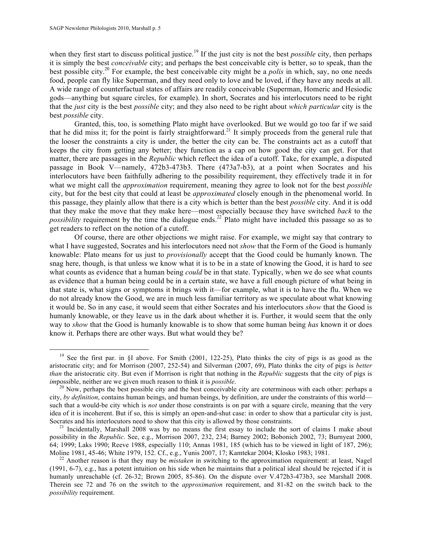when they first start to discuss political justice.<sup>19</sup> If the just city is not the best *possible* city, then perhaps it is simply the best *conceivable* city; and perhaps the best conceivable city is better, so to speak, than the best possible city.20 For example, the best conceivable city might be a *polis* in which, say, no one needs food, people can fly like Superman, and they need only to love and be loved, if they have any needs at all. A wide range of counterfactual states of affairs are readily conceivable (Superman, Homeric and Hesiodic gods—anything but square circles, for example). In short, Socrates and his interlocutors need to be right that the *just* city is the best *possible* city; and they also need to be right about *which particular* city is the best *possible* city.

Granted, this, too, is something Plato might have overlooked. But we would go too far if we said that he did miss it; for the point is fairly straightforward.<sup>21</sup> It simply proceeds from the general rule that the looser the constraints a city is under, the better the city can be. The constraints act as a cutoff that keeps the city from getting any better; they function as a cap on how good the city can get. For that matter, there are passages in the *Republic* which reflect the idea of a cutoff. Take, for example, a disputed passage in Book V—namely, 472b3-473b3. There (473a7-b3), at a point when Socrates and his interlocutors have been faithfully adhering to the possibility requirement, they effectively trade it in for what we might call the *approximation* requirement, meaning they agree to look not for the best *possible* city, but for the best city that could at least be *approximated* closely enough in the phenomenal world. In this passage, they plainly allow that there is a city which is better than the best *possible* city. And it is odd that they make the move that they make here—most especially because they have switched *back* to the *possibility* requirement by the time the dialogue ends.<sup>22</sup> Plato might have included this passage so as to get readers to reflect on the notion of a cutoff.

Of course, there are other objections we might raise. For example, we might say that contrary to what I have suggested, Socrates and his interlocutors need not *show* that the Form of the Good is humanly knowable: Plato means for us just to *provisionally* accept that the Good could be humanly known. The snag here, though, is that unless we know what it is to be in a state of knowing the Good, it is hard to see what counts as evidence that a human being *could* be in that state. Typically, when we do see what counts as evidence that a human being could be in a certain state, we have a full enough picture of what being in that state is, what signs or symptoms it brings with it—for example, what it is to have the flu. When we do not already know the Good, we are in much less familiar territory as we speculate about what knowing it would be. So in any case, it would seem that either Socrates and his interlocutors *show* that the Good is humanly knowable, or they leave us in the dark about whether it is. Further, it would seem that the only way to *show* that the Good is humanly knowable is to show that some human being *has* known it or does know it. Perhaps there are other ways. But what would they be?

<sup>&</sup>lt;sup>19</sup> See the first par. in §I above. For Smith (2001, 122-25), Plato thinks the city of pigs is as good as the aristocratic city; and for Morrison (2007, 252-54) and Silverman (2007, 69), Plato thinks the city of pigs is *better than* the aristocratic city. But even if Morrison is right that nothing in the *Republic* suggests that the city of pigs is *impossible, neither are we given much reason to think it is <i>possible*.<br><sup>20</sup> Now, perhaps the best possible city and the best conceivable city are coterminous with each other: perhaps a

city, *by definition*, contains human beings, and human beings, by definition, are under the constraints of this world such that a would-be city which is *not* under those constraints is on par with a square circle, meaning that the very idea of it is incoherent. But if so, this is simply an open-and-shut case: in order to show that a particular city is just, Socrates and his interlocutors need to show that this city is allowed by those constraints.

<sup>&</sup>lt;sup>21</sup> Incidentally, Marshall 2008 was by no means the first essay to include the sort of claims I make about possibility in the *Republic*. See, e.g., Morrison 2007, 232, 234; Barney 2002; Bobonich 2002, 73; Burnyeat 2000, 64; 1999; Laks 1990; Reeve 1988, especially 110; Annas 1981, 185 (which has to be viewed in light of 187, 296);

<sup>&</sup>lt;sup>22</sup> Another reason is that they may be *mistaken* in switching to the approximation requirement: at least, Nagel (1991, 6-7), e.g., has a potent intuition on his side when he maintains that a political ideal should be rejected if it is humanly unreachable (cf. 26-32; Brown 2005, 85-86). On the dispute over V.472b3-473b3, see Marshall 2008. Therein see 72 and 76 on the switch to the *approximation* requirement, and 81-82 on the switch back to the *possibility* requirement.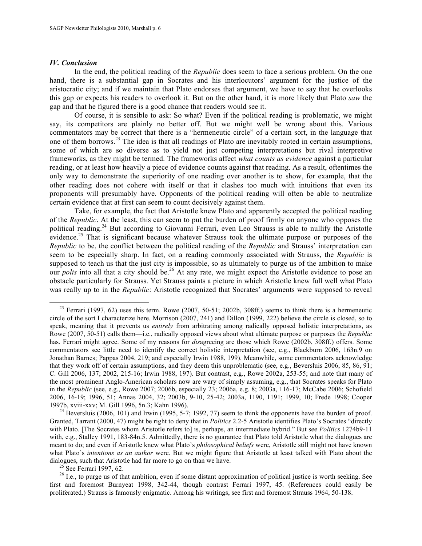### *IV. Conclusion*

In the end, the political reading of the *Republic* does seem to face a serious problem. On the one hand, there is a substantial gap in Socrates and his interlocutors' argument for the justice of the aristocratic city; and if we maintain that Plato endorses that argument, we have to say that he overlooks this gap or expects his readers to overlook it. But on the other hand, it is more likely that Plato *saw* the gap and that he figured there is a good chance that readers would see it.

Of course, it is sensible to ask: So what? Even if the political reading is problematic, we might say, its competitors are plainly no better off. But we might well be wrong about this. Various commentators may be correct that there is a "hermeneutic circle" of a certain sort, in the language that one of them borrows.<sup>23</sup> The idea is that all readings of Plato are inevitably rooted in certain assumptions, some of which are so diverse as to yield not just competing interpretations but rival interpretive frameworks, as they might be termed. The frameworks affect *what counts as evidence* against a particular reading, or at least how heavily a piece of evidence counts against that reading. As a result, oftentimes the only way to demonstrate the superiority of one reading over another is to show, for example, that the other reading does not cohere with itself or that it clashes too much with intuitions that even its proponents will presumably have. Opponents of the political reading will often be able to neutralize certain evidence that at first can seem to count decisively against them.

Take, for example, the fact that Aristotle knew Plato and apparently accepted the political reading of the *Republic*. At the least, this can seem to put the burden of proof firmly on anyone who opposes the political reading.<sup>24</sup> But according to Giovanni Ferrari, even Leo Strauss is able to nullify the Aristotle evidence.<sup>25</sup> That is significant because whatever Strauss took the ultimate purpose or purposes of the *Republic* to be, the conflict between the political reading of the *Republic* and Strauss' interpretation can seem to be especially sharp. In fact, on a reading commonly associated with Strauss, the *Republic* is supposed to teach us that the just city is impossible, so as ultimately to purge us of the ambition to make our *polis* into all that a city should be.<sup>26</sup> At any rate, we might expect the Aristotle evidence to pose an obstacle particularly for Strauss. Yet Strauss paints a picture in which Aristotle knew full well what Plato was really up to in the *Republic*: Aristotle recognized that Socrates' arguments were supposed to reveal

first and foremost Burnyeat 1998, 342-44, though contrast Ferrari 1997, 45. (References could easily be proliferated.) Strauss is famously enigmatic. Among his writings, see first and foremost Strauss 1964, 50-138.

<sup>&</sup>lt;sup>23</sup> Ferrari (1997, 62) uses this term. Rowe (2007, 50-51; 2002b, 308ff.) seems to think there is a hermeneutic circle of the sort I characterize here. Morrison (2007, 241) and Dillon (1999, 222) believe the circle is closed, so to speak, meaning that it prevents us *entirely* from arbitrating among radically opposed holistic interpretations, as Rowe (2007, 50-51) calls them—i.e., radically opposed views about what ultimate purpose or purposes the *Republic* has. Ferrari might agree. Some of my reasons for *dis*agreeing are those which Rowe (2002b, 308ff.) offers. Some commentators see little need to identify the correct holistic interpretation (see, e.g., Blackburn 2006, 163n.9 on Jonathan Barnes; Pappas 2004, 219; and especially Irwin 1988, 199). Meanwhile, some commentators acknowledge that they work off of certain assumptions, and they deem this unproblematic (see, e.g., Beversluis 2006, 85, 86, 91; C. Gill 2006, 137; 2002, 215-16; Irwin 1988, 197). But contrast, e.g., Rowe 2002a, 253-55; and note that many of the most prominent Anglo-American scholars now are wary of simply assuming, e.g., that Socrates speaks for Plato in the *Republic* (see, e.g., Rowe 2007; 2006b, especially 23; 2006a, e.g. 8; 2003a, 116-17; McCabe 2006; Schofield 2006, 16-19; 1996, 51; Annas 2004, 32; 2003b, 9-10, 25-42; 2003a, 1190, 1191; 1999, 10; Frede 1998; Cooper

<sup>&</sup>lt;sup>24</sup> Beversluis (2006, 101) and Irwin (1995, 5-7; 1992, 77) seem to think the opponents have the burden of proof. Granted, Tarrant (2000, 47) might be right to deny that in *Politics* 2.2-5 Aristotle identifies Plato's Socrates "directly with Plato. [The Socrates whom Aristotle refers to] is, perhaps, an intermediate hybrid." But see *Politics* 1274b9-11 with, e.g., Stalley 1991, 183-84n.5. Admittedly, there is no guarantee that Plato told Aristotle what the dialogues are meant to do; and even if Aristotle knew what Plato's *philosophical beliefs* were, Aristotle still might not have known what Plato's *intentions as an author* were. But we might figure that Aristotle at least talked with Plato about the dialogues, such that Aristotle had far more to go on than we have.<br><sup>25</sup> See Ferrari 1997, 62.<br><sup>26</sup> I.e., to purge us of that ambition, even if some distant approximation of political justice is worth seeking. See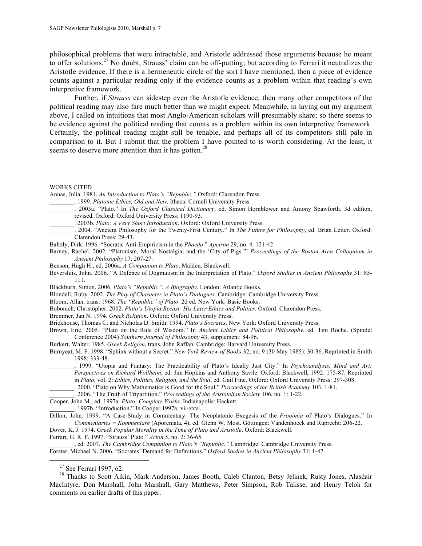philosophical problems that were intractable, and Aristotle addressed those arguments because he meant to offer solutions.<sup>27</sup> No doubt, Strauss' claim can be off-putting; but according to Ferrari it neutralizes the Aristotle evidence. If there is a hermeneutic circle of the sort I have mentioned, then a piece of evidence counts against a particular reading only if the evidence counts as a problem within that reading's own interpretive framework.

Further, if *Strauss* can sidestep even the Aristotle evidence, then many other competitors of the political reading may also fare much better than we might expect. Meanwhile, in laying out my argument above, I called on intuitions that most Anglo-American scholars will presumably share; so there seems to be evidence against the political reading that counts as a problem within its own interpretive framework. Certainly, the political reading might still be tenable, and perhaps all of its competitors still pale in comparison to it. But I submit that the problem I have pointed to is worth considering. At the least, it seems to deserve more attention than it has gotten.<sup>28</sup>

#### WORKS CITED

Annas, Julia. 1981. *An Introduction to Plato's "Republic."* Oxford: Clarendon Press.

- \_\_\_\_\_\_\_\_. 1999. *Platonic Ethics, Old and New*. Ithaca: Cornell University Press.
- \_\_\_\_\_\_\_\_. 2003a. "Plato." In *The Oxford Classical Dictionary*, ed. Simon Hornblower and Antony Spawforth. 3d edition, revised. Oxford: Oxford University Press: 1190-93.
	- \_\_\_\_\_\_\_\_. 2003b. *Plato: A Very Short Introduction*. Oxford: Oxford University Press.

\_\_\_\_\_\_\_\_. 2004. "Ancient Philosophy for the Twenty-First Century." In *The Future for Philosophy*, ed. Brian Leiter. Oxford: Clarendon Press: 29-43.

- Baltzly, Dirk. 1996. "Socratic Anti-Empiricism in the *Phaedo*." *Apeiron* 29, no. 4: 121-42.
- Barney, Rachel. 2002. "Platonism, Moral Nostalgia, and the 'City of Pigs.'" *Proceedings of the Boston Area Colloquium in Ancient Philosophy* 17: 207-27.
- Benson, Hugh H., ed. 2006a. *A Companion to Plato*. Malden: Blackwell.
- Beversluis, John. 2006. "A Defence of Dogmatism in the Interpretation of Plato." *Oxford Studies in Ancient Philosophy* 31: 85- 111.
- Blackburn, Simon. 2006. *Plato's "Republic": A Biography*. London: Atlantic Books.
- Blondell, Ruby. 2002. *The Play of Character in Plato's Dialogues*. Cambridge: Cambridge University Press.

Bloom, Allan, trans. 1968. *The "Republic" of Plato*. 2d ed. New York: Basic Books.

Bobonich, Christopher. 2002. *Plato's Utopia Recast: His Later Ethics and Politics*. Oxford: Clarendon Press.

Bremmer, Jan N. 1994. *Greek Religion*. Oxford: Oxford University Press.

- Brickhouse, Thomas C. and Nicholas D. Smith. 1994. *Plato's Socrates*. New York: Oxford University Press.
- Brown, Eric. 2005. "Plato on the Rule of Wisdom." In *Ancient Ethics and Political Philosophy*, ed. Tim Roche. (Spindel Conference 2004) *Southern Journal of Philosophy* 43, supplement: 84-96.

Burkert, Walter. 1985. *Greek Religion*, trans. John Raffan. Cambridge: Harvard University Press.

- Burnyeat, M. F. 1998. "Sphinx without a Secret." *New York Review of Books* 32, no. 9 (30 May 1985): 30-36. Reprinted in Smith 1998: 333-48.
	- \_\_\_\_\_\_\_\_. 1999. "Utopia and Fantasy: The Practicability of Plato's Ideally Just City." In *Psychoanalysis, Mind and Art: Perspectives on Richard Wollheim*, ed. Jim Hopkins and Anthony Savile. Oxford: Blackwell, 1992: 175-87. Reprinted in *Plato*, vol. 2: *Ethics, Politics, Religion, and the Soul*, ed. Gail Fine. Oxford: Oxford University Press: 297-308.
	- \_\_\_\_\_\_\_\_. 2000. "Plato on Why Mathematics is Good for the Soul." *Proceedings of the British Academy* 103: 1-81.
	- \_\_\_\_\_\_\_\_. 2006. "The Truth of Tripartition." *Proceedings of the Aristotelian Society* 106, no. 1: 1-22.

Cooper, John M., ed. 1997a. *Plato: Complete Works*. Indianapolis: Hackett.

\_\_\_\_\_\_\_\_. 1997b. "Introduction." In Cooper 1997a: vii-xxvi.

Dillon, John. 1999. "A Case-Study in Commentary: The Neoplatonic Exegesis of the *Prooimia* of Plato's Dialogues." In *Commentaries = Kommentare* (Aporemata, 4), ed. Glenn W. Most. Göttingen: Vandenhoeck and Ruprecht: 206-22.

Dover, K. J. 1974. *Greek Popular Morality in the Time of Plato and Aristotle*. Oxford: Blackwell.

Ferrari, G. R. F. 1997. "Strauss' Plato." *Arion* 5, no. 2: 36-65.

\_\_\_\_\_\_\_\_, ed. 2007. *The Cambridge Companion to Plato's "Republic."* Cambridge: Cambridge University Press. Forster, Michael N. 2006. "Socrates' Demand for Definitions." *Oxford Studies in Ancient Philosophy* 31: 1-47.

<sup>&</sup>lt;sup>27</sup> See Ferrari 1997, 62.<br><sup>28</sup> Thanks to Scott Aikin, Mark Anderson, James Booth, Caleb Clanton, Betsy Jelinek, Rusty Jones, Alasdair MacIntyre, Don Marshall, John Marshall, Gary Matthews, Peter Simpson, Rob Talisse, and Henry Teloh for comments on earlier drafts of this paper.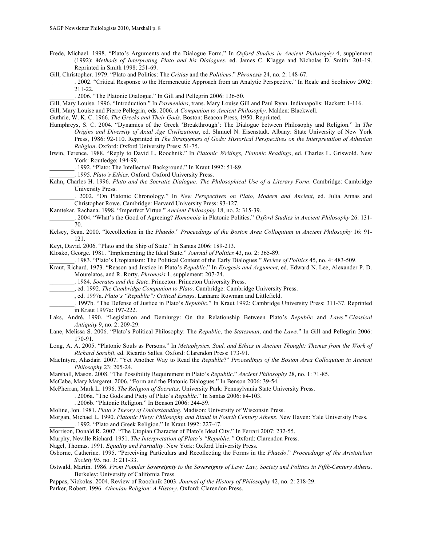Frede, Michael. 1998. "Plato's Arguments and the Dialogue Form." In *Oxford Studies in Ancient Philosophy* 4, supplement (1992): *Methods of Interpreting Plato and his Dialogues*, ed. James C. Klagge and Nicholas D. Smith: 201-19. Reprinted in Smith 1998: 251-69.

Gill, Christopher. 1979. "Plato and Politics: The *Critias* and the *Politicus*." *Phronesis* 24, no. 2: 148-67.

\_\_\_\_\_\_\_\_. 2002. "Critical Response to the Hermeneutic Approach from an Analytic Perspective." In Reale and Scolnicov 2002: 211-22.

\_\_\_\_\_\_\_\_. 2006. "The Platonic Dialogue." In Gill and Pellegrin 2006: 136-50.

Gill, Mary Louise. 1996. "Introduction." In *Parmenides*, trans. Mary Louise Gill and Paul Ryan. Indianapolis: Hackett: 1-116.

Gill, Mary Louise and Pierre Pellegrin, eds. 2006. *A Companion to Ancient Philosophy*. Malden: Blackwell.

Guthrie, W. K. C. 1966. *The Greeks and Their Gods*. Boston: Beacon Press, 1950. Reprinted.

Humphreys, S. C. 2004. "Dynamics of the Greek 'Breakthrough': The Dialogue between Philosophy and Religion." In *The Origins and Diversity of Axial Age Civilizations*, ed. Shmuel N. Eisenstadt. Albany: State University of New York Press, 1986: 92-110. Reprinted in *The Strangeness of Gods: Historical Perspectives on the Interpretation of Athenian Religion*. Oxford: Oxford University Press: 51-75.

Irwin, Terence. 1988. "Reply to David L. Roochnik." In *Platonic Writings, Platonic Readings*, ed. Charles L. Griswold. New York: Routledge: 194-99.

\_\_\_\_\_\_\_\_. 1992. "Plato: The Intellectual Background." In Kraut 1992: 51-89.

\_\_\_\_\_\_\_\_. 1995. *Plato's Ethics*. Oxford: Oxford University Press.

Kahn, Charles H. 1996. *Plato and the Socratic Dialogue: The Philosophical Use of a Literary Form*. Cambridge: Cambridge University Press.

\_\_\_\_\_\_\_\_. 2002. "On Platonic Chronology." In *New Perspectives on Plato, Modern and Ancient*, ed. Julia Annas and Christopher Rowe. Cambridge: Harvard University Press: 93-127.

Kamtekar, Rachana. 1998. "Imperfect Virtue." *Ancient Philosophy* 18, no. 2: 315-39.

\_\_\_\_\_\_\_\_. 2004. "What's the Good of Agreeing? *Homonoia* in Platonic Politics." *Oxford Studies in Ancient Philosophy* 26: 131- 70.

Kelsey, Sean. 2000. "Recollection in the *Phaedo*." *Proceedings of the Boston Area Colloquium in Ancient Philosophy* 16: 91- 121.

Keyt, David. 2006. "Plato and the Ship of State." In Santas 2006: 189-213.

Klosko, George. 1981. "Implementing the Ideal State." *Journal of Politics* 43, no. 2: 365-89.

\_\_\_\_\_\_\_\_. 1983. "Plato's Utopianism: The Political Content of the Early Dialogues." *Review of Politics* 45, no. 4: 483-509.

Kraut, Richard. 1973. "Reason and Justice in Plato's *Republic*." In *Exegesis and Argument*, ed. Edward N. Lee, Alexander P. D.

Mourelatos, and R. Rorty. *Phronesis* 1, supplement: 207-24.

\_\_\_\_\_\_\_\_. 1984. *Socrates and the State*. Princeton: Princeton University Press.

\_\_\_\_\_\_\_\_, ed. 1992. *The Cambridge Companion to Plato*. Cambridge: Cambridge University Press.

\_\_\_\_\_\_\_\_, ed. 1997a. *Plato's "Republic": Critical Essays*. Lanham: Rowman and Littlefield.

Laks, André. 1990. "Legislation and Demiurgy: On the Relationship Between Plato's *Republic* and *Laws*." *Classical Antiquity* 9, no. 2: 209-29.

Lane, Melissa S. 2006. "Plato's Political Philosophy: The *Republic*, the *Statesman*, and the *Laws*." In Gill and Pellegrin 2006: 170-91.

Long, A. A. 2005. "Platonic Souls as Persons." In *Metaphysics, Soul, and Ethics in Ancient Thought: Themes from the Work of Richard Sorabji*, ed. Ricardo Salles. Oxford: Clarendon Press: 173-91.

MacIntyre, Alasdair. 2007. "Yet Another Way to Read the *Republic*?" *Proceedings of the Boston Area Colloquium in Ancient Philosophy* 23: 205-24.

Marshall, Mason. 2008. "The Possibility Requirement in Plato's *Republic*." *Ancient Philosophy* 28, no. 1: 71-85.

McCabe, Mary Margaret. 2006. "Form and the Platonic Dialogues." In Benson 2006: 39-54.

McPherran, Mark L. 1996. *The Religion of Socrates*. University Park: Pennsylvania State University Press.

\_\_\_\_\_\_\_\_. 2006a. "The Gods and Piety of Plato's *Republic*." In Santas 2006: 84-103.

\_\_\_\_\_\_\_\_. 2006b. "Platonic Religion." In Benson 2006: 244-59.

Moline, Jon. 1981. *Plato's Theory of Understanding*. Madison: University of Wisconsin Press.

Morgan, Michael L. 1990. *Platonic Piety: Philosophy and Ritual in Fourth Century Athens*. New Haven: Yale University Press. \_\_\_\_\_\_\_\_. 1992. "Plato and Greek Religion." In Kraut 1992: 227-47.

Morrison, Donald R. 2007. "The Utopian Character of Plato's Ideal City." In Ferrari 2007: 232-55.

Murphy, Neville Richard. 1951. *The Interpretation of Plato's "Republic."* Oxford: Clarendon Press.

Nagel, Thomas. 1991. *Equality and Partiality*. New York: Oxford University Press.

Osborne, Catherine. 1995. "Perceiving Particulars and Recollecting the Forms in the *Phaedo*." *Proceedings of the Aristotelian Society* 95, no. 3: 211-33.

Ostwald, Martin. 1986. *From Popular Sovereignty to the Sovereignty of Law: Law, Society and Politics in Fifth-Century Athens*. Berkeley: University of California Press.

Pappas, Nickolas. 2004. Review of Roochnik 2003. *Journal of the History of Philosophy* 42, no. 2: 218-29.

Parker, Robert. 1996. *Athenian Religion: A History*. Oxford: Clarendon Press.

\_\_\_\_\_\_\_\_. 1997b. "The Defense of Justice in Plato's *Republic*." In Kraut 1992: Cambridge University Press: 311-37. Reprinted in Kraut 1997a: 197-222.